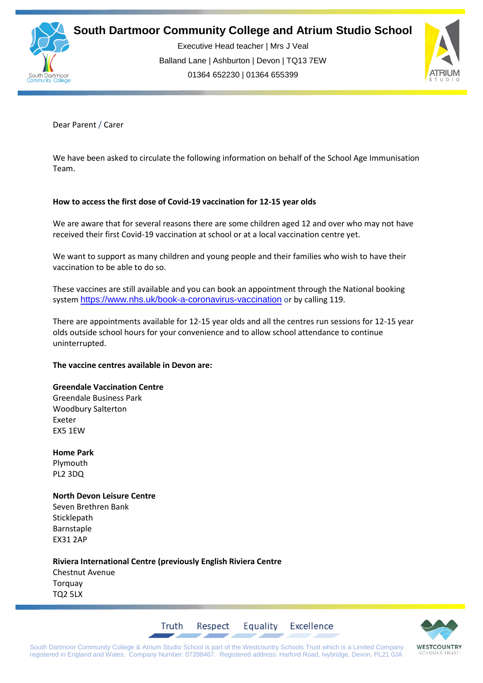

Executive Head teacher | Mrs J Veal Balland Lane | Ashburton | Devon | TQ13 7EW 01364 652230 | 01364 655399



Dear Parent / Carer

We have been asked to circulate the following information on behalf of the School Age Immunisation Team.

## **How to access the first dose of Covid-19 vaccination for 12-15 year olds**

We are aware that for several reasons there are some children aged 12 and over who may not have received their first Covid-19 vaccination at school or at a local vaccination centre yet.

We want to support as many children and young people and their families who wish to have their vaccination to be able to do so.

These vaccines are still available and you can book an appointment through the National booking system <https://www.nhs.uk/book-a-coronavirus-vaccination> or by calling 119.

There are appointments available for 12-15 year olds and all the centres run sessions for 12-15 year olds outside school hours for your convenience and to allow school attendance to continue uninterrupted.

### **The vaccine centres available in Devon are:**

### **Greendale Vaccination Centre**

Greendale Business Park Woodbury Salterton Exeter EX5 1EW

**Home Park** Plymouth PL2 3DQ

## **North Devon Leisure Centre**

Seven Brethren Bank Sticklepath Barnstaple EX31 2AP

**Riviera International Centre (previously English Riviera Centre** Chestnut Avenue Torquay TQ2 5LX

Truth



South Dartmoor Community College & Atrium Studio School is part of the Westcountry Schools Trust which is a Limited Company registered in England and Wales. Company Number: 07398467. Registered address: Harford Road, Ivybridge, Devon, PL21 0JA

Respect

Equality

Excellence